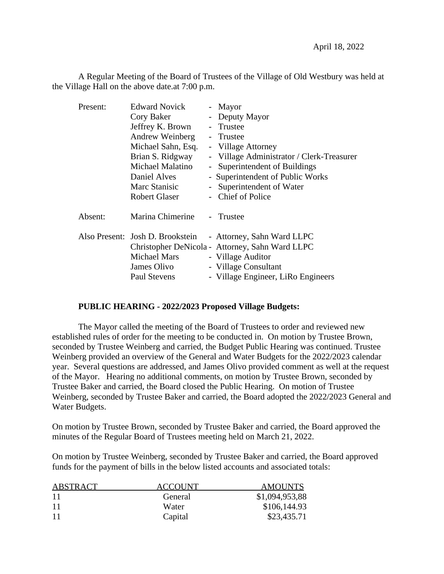A Regular Meeting of the Board of Trustees of the Village of Old Westbury was held at the Village Hall on the above date.at 7:00 p.m.

| Present: | <b>Edward Novick</b>             |               | - Mayor                                         |
|----------|----------------------------------|---------------|-------------------------------------------------|
|          | Cory Baker                       |               | - Deputy Mayor                                  |
|          | Jeffrey K. Brown                 |               | - Trustee                                       |
|          | Andrew Weinberg                  |               | - Trustee                                       |
|          | Michael Sahn, Esq.               |               | - Village Attorney                              |
|          | Brian S. Ridgway                 |               | - Village Administrator / Clerk-Treasurer       |
|          | Michael Malatino                 | $\sim$        | Superintendent of Buildings                     |
|          | Daniel Alves                     |               | - Superintendent of Public Works                |
|          | Marc Stanisic                    | $\frac{1}{2}$ | Superintendent of Water                         |
|          | <b>Robert Glaser</b>             |               | - Chief of Police                               |
| Absent:  | Marina Chimerine                 |               | - Trustee                                       |
|          | Also Present: Josh D. Brookstein |               | - Attorney, Sahn Ward LLPC                      |
|          |                                  |               | Christopher DeNicola - Attorney, Sahn Ward LLPC |
|          | <b>Michael Mars</b>              |               | - Village Auditor                               |
|          | James Olivo                      |               | - Village Consultant                            |
|          | Paul Stevens                     |               | - Village Engineer, LiRo Engineers              |

## **PUBLIC HEARING - 2022/2023 Proposed Village Budgets:**

The Mayor called the meeting of the Board of Trustees to order and reviewed new established rules of order for the meeting to be conducted in. On motion by Trustee Brown, seconded by Trustee Weinberg and carried, the Budget Public Hearing was continued. Trustee Weinberg provided an overview of the General and Water Budgets for the 2022/2023 calendar year. Several questions are addressed, and James Olivo provided comment as well at the request of the Mayor. Hearing no additional comments, on motion by Trustee Brown, seconded by Trustee Baker and carried, the Board closed the Public Hearing. On motion of Trustee Weinberg, seconded by Trustee Baker and carried, the Board adopted the 2022/2023 General and Water Budgets.

On motion by Trustee Brown, seconded by Trustee Baker and carried, the Board approved the minutes of the Regular Board of Trustees meeting held on March 21, 2022.

On motion by Trustee Weinberg, seconded by Trustee Baker and carried, the Board approved funds for the payment of bills in the below listed accounts and associated totals:

| ABSTRACT | <b>ACCOUNT</b> | <b>AMOUNTS</b> |  |
|----------|----------------|----------------|--|
| 11       | General        | \$1,094,953,88 |  |
| 11       | Water          | \$106,144.93   |  |
| 11       | Capital        | \$23,435.71    |  |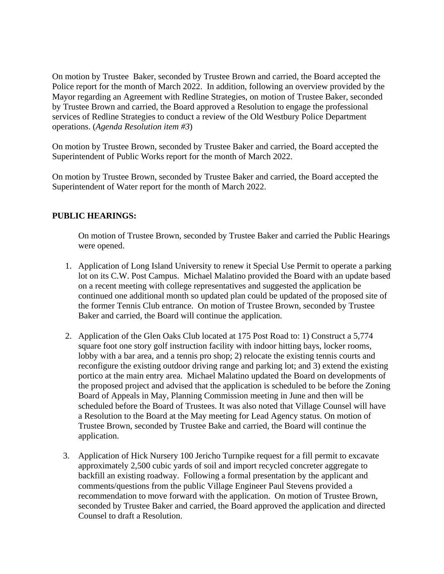On motion by Trustee Baker, seconded by Trustee Brown and carried, the Board accepted the Police report for the month of March 2022. In addition, following an overview provided by the Mayor regarding an Agreement with Redline Strategies, on motion of Trustee Baker, seconded by Trustee Brown and carried, the Board approved a Resolution to engage the professional services of Redline Strategies to conduct a review of the Old Westbury Police Department operations. (*Agenda Resolution item #3*)

On motion by Trustee Brown, seconded by Trustee Baker and carried, the Board accepted the Superintendent of Public Works report for the month of March 2022.

On motion by Trustee Brown, seconded by Trustee Baker and carried, the Board accepted the Superintendent of Water report for the month of March 2022.

## **PUBLIC HEARINGS:**

On motion of Trustee Brown, seconded by Trustee Baker and carried the Public Hearings were opened.

- 1. Application of Long Island University to renew it Special Use Permit to operate a parking lot on its C.W. Post Campus. Michael Malatino provided the Board with an update based on a recent meeting with college representatives and suggested the application be continued one additional month so updated plan could be updated of the proposed site of the former Tennis Club entrance. On motion of Trustee Brown, seconded by Trustee Baker and carried, the Board will continue the application.
- 2. Application of the Glen Oaks Club located at 175 Post Road to: 1) Construct a 5,774 square foot one story golf instruction facility with indoor hitting bays, locker rooms, lobby with a bar area, and a tennis pro shop; 2) relocate the existing tennis courts and reconfigure the existing outdoor driving range and parking lot; and 3) extend the existing portico at the main entry area. Michael Malatino updated the Board on developments of the proposed project and advised that the application is scheduled to be before the Zoning Board of Appeals in May, Planning Commission meeting in June and then will be scheduled before the Board of Trustees. It was also noted that Village Counsel will have a Resolution to the Board at the May meeting for Lead Agency status. On motion of Trustee Brown, seconded by Trustee Bake and carried, the Board will continue the application.
- 3. Application of Hick Nursery 100 Jericho Turnpike request for a fill permit to excavate approximately 2,500 cubic yards of soil and import recycled concreter aggregate to backfill an existing roadway. Following a formal presentation by the applicant and comments/questions from the public Village Engineer Paul Stevens provided a recommendation to move forward with the application. On motion of Trustee Brown, seconded by Trustee Baker and carried, the Board approved the application and directed Counsel to draft a Resolution.